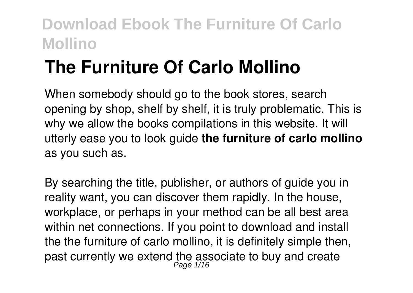# **The Furniture Of Carlo Mollino**

When somebody should go to the book stores, search opening by shop, shelf by shelf, it is truly problematic. This is why we allow the books compilations in this website. It will utterly ease you to look guide **the furniture of carlo mollino** as you such as.

By searching the title, publisher, or authors of guide you in reality want, you can discover them rapidly. In the house, workplace, or perhaps in your method can be all best area within net connections. If you point to download and install the the furniture of carlo mollino, it is definitely simple then, past currently we extend the associate to buy and create Page 1/16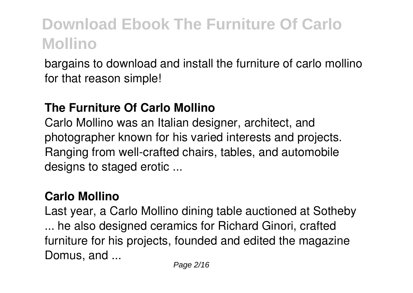bargains to download and install the furniture of carlo mollino for that reason simple!

#### **The Furniture Of Carlo Mollino**

Carlo Mollino was an Italian designer, architect, and photographer known for his varied interests and projects. Ranging from well-crafted chairs, tables, and automobile designs to staged erotic ...

#### **Carlo Mollino**

Last year, a Carlo Mollino dining table auctioned at Sotheby ... he also designed ceramics for Richard Ginori, crafted furniture for his projects, founded and edited the magazine Domus, and ...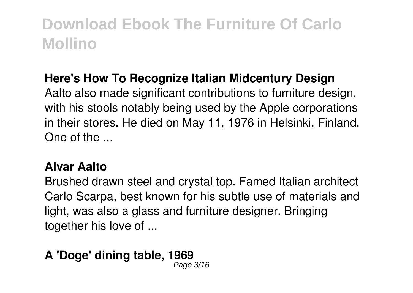#### **Here's How To Recognize Italian Midcentury Design**

Aalto also made significant contributions to furniture design, with his stools notably being used by the Apple corporations in their stores. He died on May 11, 1976 in Helsinki, Finland. One of the ...

#### **Alvar Aalto**

Brushed drawn steel and crystal top. Famed Italian architect Carlo Scarpa, best known for his subtle use of materials and light, was also a glass and furniture designer. Bringing together his love of ...

#### **A 'Doge' dining table, 1969** Page 3/16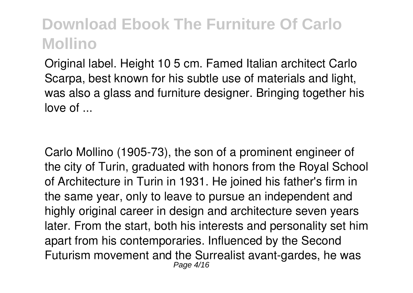Original label. Height 10 5 cm. Famed Italian architect Carlo Scarpa, best known for his subtle use of materials and light, was also a glass and furniture designer. Bringing together his love of ...

Carlo Mollino (1905-73), the son of a prominent engineer of the city of Turin, graduated with honors from the Royal School of Architecture in Turin in 1931. He joined his father's firm in the same year, only to leave to pursue an independent and highly original career in design and architecture seven years later. From the start, both his interests and personality set him apart from his contemporaries. Influenced by the Second Futurism movement and the Surrealist avant-gardes, he was Page 4/16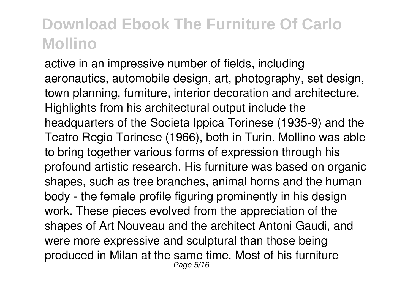active in an impressive number of fields, including aeronautics, automobile design, art, photography, set design, town planning, furniture, interior decoration and architecture. Highlights from his architectural output include the headquarters of the Societa Ippica Torinese (1935-9) and the Teatro Regio Torinese (1966), both in Turin. Mollino was able to bring together various forms of expression through his profound artistic research. His furniture was based on organic shapes, such as tree branches, animal horns and the human body - the female profile figuring prominently in his design work. These pieces evolved from the appreciation of the shapes of Art Nouveau and the architect Antoni Gaudi, and were more expressive and sculptural than those being produced in Milan at the same time. Most of his furniture Page 5/16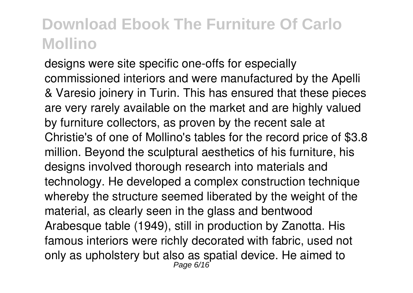designs were site specific one-offs for especially commissioned interiors and were manufactured by the Apelli & Varesio joinery in Turin. This has ensured that these pieces are very rarely available on the market and are highly valued by furniture collectors, as proven by the recent sale at Christie's of one of Mollino's tables for the record price of \$3.8 million. Beyond the sculptural aesthetics of his furniture, his designs involved thorough research into materials and technology. He developed a complex construction technique whereby the structure seemed liberated by the weight of the material, as clearly seen in the glass and bentwood Arabesque table (1949), still in production by Zanotta. His famous interiors were richly decorated with fabric, used not only as upholstery but also as spatial device. He aimed to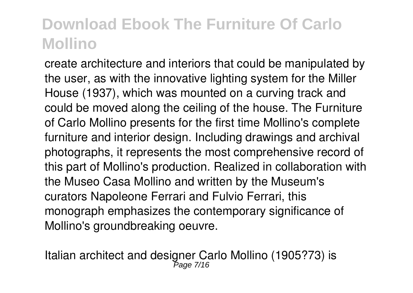create architecture and interiors that could be manipulated by the user, as with the innovative lighting system for the Miller House (1937), which was mounted on a curving track and could be moved along the ceiling of the house. The Furniture of Carlo Mollino presents for the first time Mollino's complete furniture and interior design. Including drawings and archival photographs, it represents the most comprehensive record of this part of Mollino's production. Realized in collaboration with the Museo Casa Mollino and written by the Museum's curators Napoleone Ferrari and Fulvio Ferrari, this monograph emphasizes the contemporary significance of Mollino's groundbreaking oeuvre.

Italian architect and designer Carlo Mollino (1905?73) is<br>Page 7/16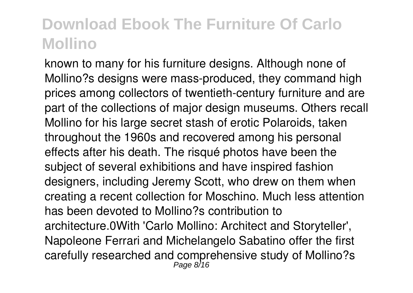known to many for his furniture designs. Although none of Mollino?s designs were mass-produced, they command high prices among collectors of twentieth-century furniture and are part of the collections of major design museums. Others recall Mollino for his large secret stash of erotic Polaroids, taken throughout the 1960s and recovered among his personal effects after his death. The risqué photos have been the subject of several exhibitions and have inspired fashion designers, including Jeremy Scott, who drew on them when creating a recent collection for Moschino. Much less attention has been devoted to Mollino?s contribution to architecture.0With 'Carlo Mollino: Architect and Storyteller', Napoleone Ferrari and Michelangelo Sabatino offer the first carefully researched and comprehensive study of Mollino?s Page 8/16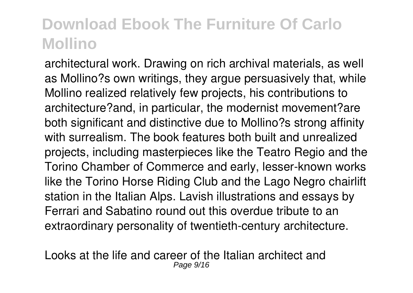architectural work. Drawing on rich archival materials, as well as Mollino?s own writings, they argue persuasively that, while Mollino realized relatively few projects, his contributions to architecture?and, in particular, the modernist movement?are both significant and distinctive due to Mollino?s strong affinity with surrealism. The book features both built and unrealized projects, including masterpieces like the Teatro Regio and the Torino Chamber of Commerce and early, lesser-known works like the Torino Horse Riding Club and the Lago Negro chairlift station in the Italian Alps. Lavish illustrations and essays by Ferrari and Sabatino round out this overdue tribute to an extraordinary personality of twentieth-century architecture.

Looks at the life and career of the Italian architect and Page  $9/16$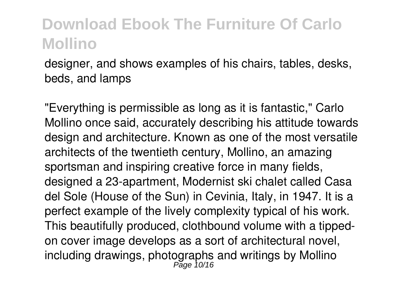designer, and shows examples of his chairs, tables, desks, beds, and lamps

"Everything is permissible as long as it is fantastic," Carlo Mollino once said, accurately describing his attitude towards design and architecture. Known as one of the most versatile architects of the twentieth century, Mollino, an amazing sportsman and inspiring creative force in many fields, designed a 23-apartment, Modernist ski chalet called Casa del Sole (House of the Sun) in Cevinia, Italy, in 1947. It is a perfect example of the lively complexity typical of his work. This beautifully produced, clothbound volume with a tippedon cover image develops as a sort of architectural novel, including drawings, photographs and writings by Mollino<br>Page 10/16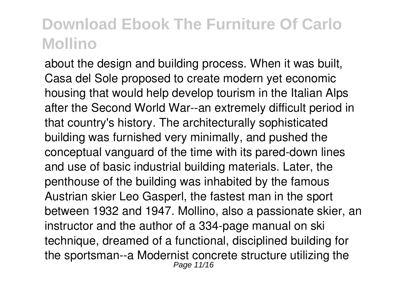about the design and building process. When it was built, Casa del Sole proposed to create modern yet economic housing that would help develop tourism in the Italian Alps after the Second World War--an extremely difficult period in that country's history. The architecturally sophisticated building was furnished very minimally, and pushed the conceptual vanguard of the time with its pared-down lines and use of basic industrial building materials. Later, the penthouse of the building was inhabited by the famous Austrian skier Leo Gasperl, the fastest man in the sport between 1932 and 1947. Mollino, also a passionate skier, an instructor and the author of a 334-page manual on ski technique, dreamed of a functional, disciplined building for the sportsman--a Modernist concrete structure utilizing the Page 11/16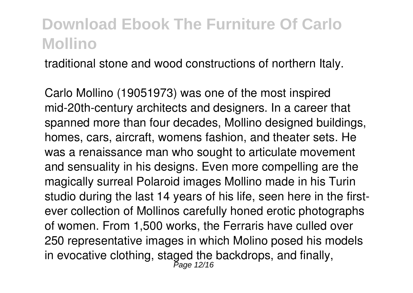traditional stone and wood constructions of northern Italy.

Carlo Mollino (19051973) was one of the most inspired mid-20th-century architects and designers. In a career that spanned more than four decades, Mollino designed buildings, homes, cars, aircraft, womens fashion, and theater sets. He was a renaissance man who sought to articulate movement and sensuality in his designs. Even more compelling are the magically surreal Polaroid images Mollino made in his Turin studio during the last 14 years of his life, seen here in the firstever collection of Mollinos carefully honed erotic photographs of women. From 1,500 works, the Ferraris have culled over 250 representative images in which Molino posed his models in evocative clothing, staged the backdrops, and finally,<br> $P_{\text{age 12/16}}$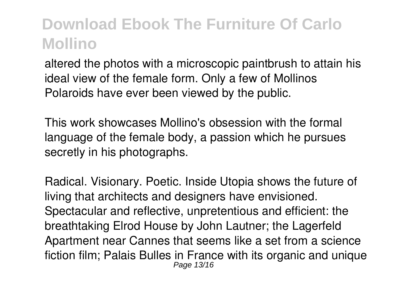altered the photos with a microscopic paintbrush to attain his ideal view of the female form. Only a few of Mollinos Polaroids have ever been viewed by the public.

This work showcases Mollino's obsession with the formal language of the female body, a passion which he pursues secretly in his photographs.

Radical. Visionary. Poetic. Inside Utopia shows the future of living that architects and designers have envisioned. Spectacular and reflective, unpretentious and efficient: the breathtaking Elrod House by John Lautner; the Lagerfeld Apartment near Cannes that seems like a set from a science fiction film; Palais Bulles in France with its organic and unique Page 13/16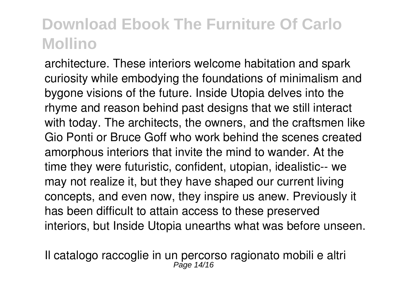architecture. These interiors welcome habitation and spark curiosity while embodying the foundations of minimalism and bygone visions of the future. Inside Utopia delves into the rhyme and reason behind past designs that we still interact with today. The architects, the owners, and the craftsmen like Gio Ponti or Bruce Goff who work behind the scenes created amorphous interiors that invite the mind to wander. At the time they were futuristic, confident, utopian, idealistic-- we may not realize it, but they have shaped our current living concepts, and even now, they inspire us anew. Previously it has been difficult to attain access to these preserved interiors, but Inside Utopia unearths what was before unseen.

Il catalogo raccoglie in un percorso ragionato mobili e altri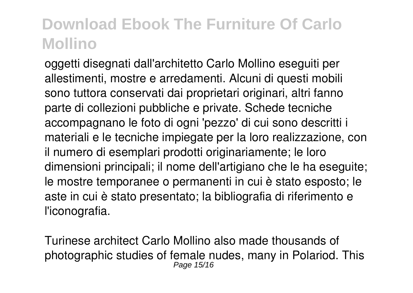oggetti disegnati dall'architetto Carlo Mollino eseguiti per allestimenti, mostre e arredamenti. Alcuni di questi mobili sono tuttora conservati dai proprietari originari, altri fanno parte di collezioni pubbliche e private. Schede tecniche accompagnano le foto di ogni 'pezzo' di cui sono descritti i materiali e le tecniche impiegate per la loro realizzazione, con il numero di esemplari prodotti originariamente; le loro dimensioni principali; il nome dell'artigiano che le ha eseguite; le mostre temporanee o permanenti in cui è stato esposto; le aste in cui è stato presentato; la bibliografia di riferimento e l'iconografia.

Turinese architect Carlo Mollino also made thousands of photographic studies of female nudes, many in Polariod. This Page 15/16